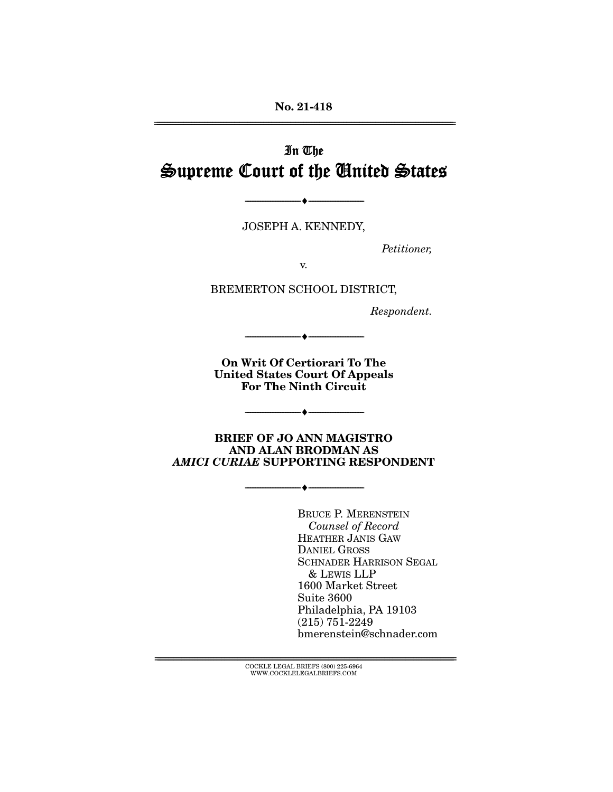**No. 21-418**  ================================================================================================================

# In The Supreme Court of the United States

JOSEPH A. KENNEDY,

 $- \bullet -$ 

Petitioner,

v.

BREMERTON SCHOOL DISTRICT,

Respondent.

**On Writ Of Certiorari To The United States Court Of Appeals For The Ninth Circuit** 

--------------------------------- ♦ ---------------------------------

--------------------------------- ♦ ---------------------------------

**BRIEF OF JO ANN MAGISTRO AND ALAN BRODMAN AS**  *AMICI CURIAE* **SUPPORTING RESPONDENT** 

--------------------------------- ♦ ---------------------------------

BRUCE P. MERENSTEIN Counsel of Record HEATHER JANIS GAW DANIEL GROSS SCHNADER HARRISON SEGAL & LEWIS LLP 1600 Market Street Suite 3600 Philadelphia, PA 19103 (215) 751-2249 bmerenstein@schnader.com

================================================================================================================ COCKLE LEGAL BRIEFS (800) 225-6964 WWW.COCKLELEGALBRIEFS.COM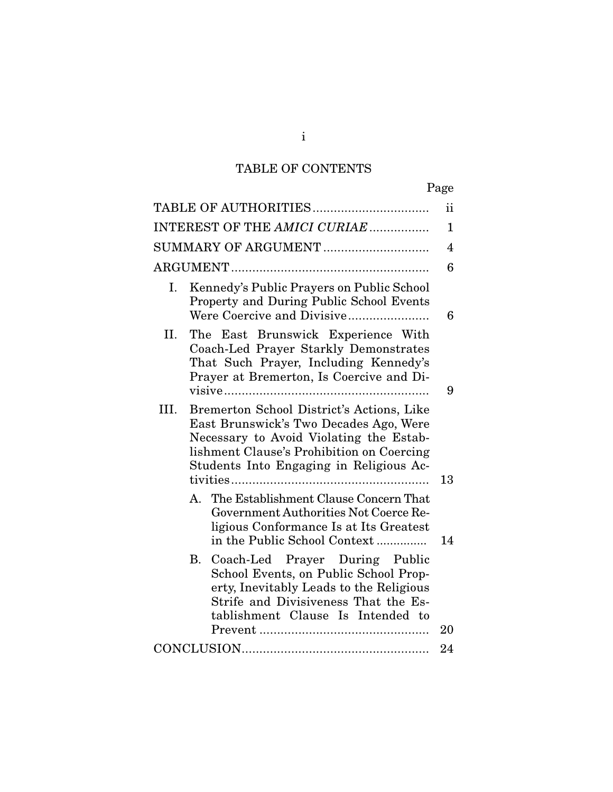# TABLE OF CONTENTS

| INTEREST OF THE AMICI CURIAE |                                                                                                                                                                                                                              |                                                                                                                                                                                                 |    |  |
|------------------------------|------------------------------------------------------------------------------------------------------------------------------------------------------------------------------------------------------------------------------|-------------------------------------------------------------------------------------------------------------------------------------------------------------------------------------------------|----|--|
| SUMMARY OF ARGUMENT          |                                                                                                                                                                                                                              |                                                                                                                                                                                                 |    |  |
|                              |                                                                                                                                                                                                                              |                                                                                                                                                                                                 |    |  |
| I.                           |                                                                                                                                                                                                                              | Kennedy's Public Prayers on Public School<br>Property and During Public School Events<br>Were Coercive and Divisive                                                                             | 6  |  |
| II.                          |                                                                                                                                                                                                                              | The East Brunswick Experience With<br>Coach-Led Prayer Starkly Demonstrates<br>That Such Prayer, Including Kennedy's<br>Prayer at Bremerton, Is Coercive and Di-                                | 9  |  |
| III.                         | Bremerton School District's Actions, Like<br>East Brunswick's Two Decades Ago, Were<br>Necessary to Avoid Violating the Estab-<br>lishment Clause's Prohibition on Coercing<br>Students Into Engaging in Religious Ac-<br>13 |                                                                                                                                                                                                 |    |  |
|                              | A.                                                                                                                                                                                                                           | The Establishment Clause Concern That<br>Government Authorities Not Coerce Re-<br>ligious Conformance Is at Its Greatest<br>in the Public School Context                                        | 14 |  |
|                              | В.                                                                                                                                                                                                                           | Coach-Led Prayer During Public<br>School Events, on Public School Prop-<br>erty, Inevitably Leads to the Religious<br>Strife and Divisiveness That the Es-<br>tablishment Clause Is Intended to | 20 |  |
|                              |                                                                                                                                                                                                                              |                                                                                                                                                                                                 | 24 |  |

i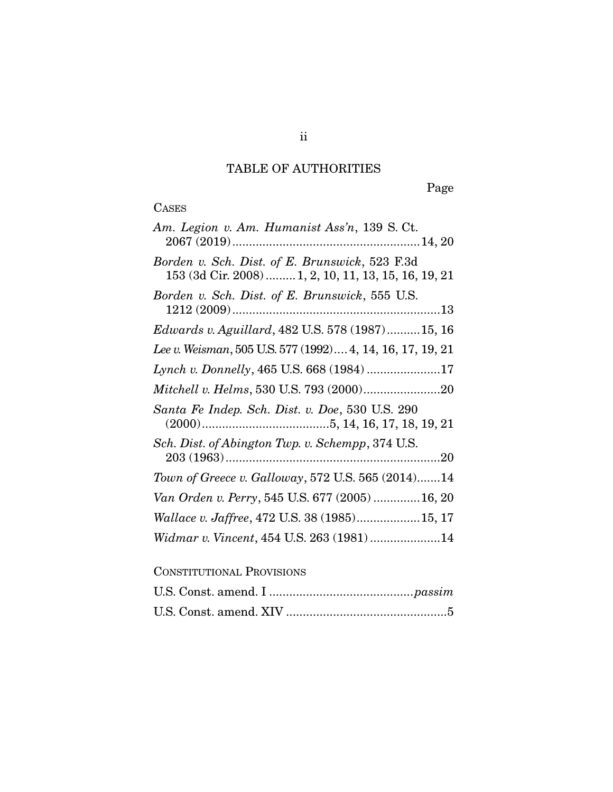## TABLE OF AUTHORITIES

Page

# **CASES**

| Am. Legion v. Am. Humanist Ass'n, 139 S. Ct.                                                           |
|--------------------------------------------------------------------------------------------------------|
| Borden v. Sch. Dist. of E. Brunswick, 523 F.3d<br>153 (3d Cir. 2008)  1, 2, 10, 11, 13, 15, 16, 19, 21 |
| Borden v. Sch. Dist. of E. Brunswick, 555 U.S.                                                         |
| Edwards v. Aguillard, 482 U.S. 578 (1987)15, 16                                                        |
| Lee v. Weisman, 505 U.S. 577 (1992) 4, 14, 16, 17, 19, 21                                              |
| Lynch v. Donnelly, 465 U.S. 668 (1984) 17                                                              |
| Mitchell v. Helms, 530 U.S. 793 (2000)20                                                               |
| Santa Fe Indep. Sch. Dist. v. Doe, 530 U.S. 290                                                        |
| Sch. Dist. of Abington Twp. v. Schempp, 374 U.S.                                                       |
| Town of Greece v. Galloway, 572 U.S. 565 (2014)14                                                      |
| Van Orden v. Perry, 545 U.S. 677 (2005)  16, 20                                                        |
| Wallace v. Jaffree, 472 U.S. 38 (1985)15, 17                                                           |
| Widmar v. Vincent, 454 U.S. 263 (1981) 14                                                              |

## CONSTITUTIONAL PROVISIONS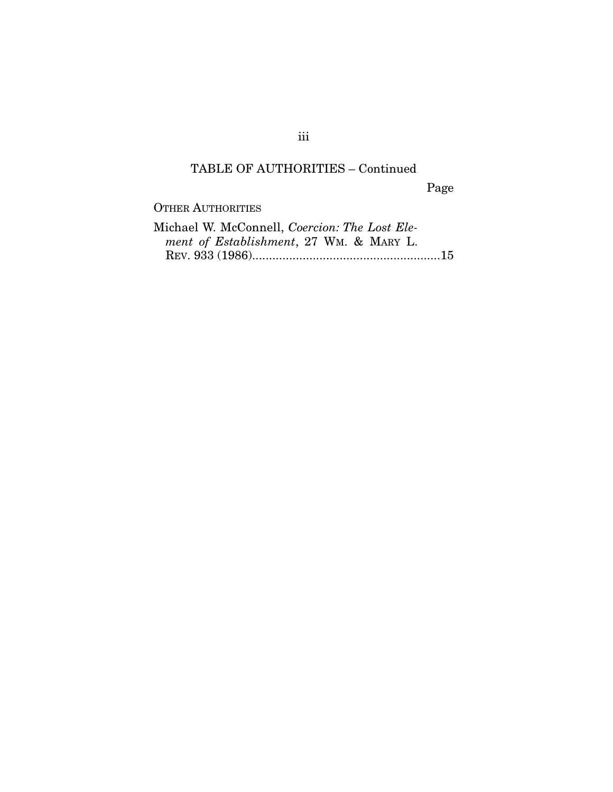## TABLE OF AUTHORITIES – Continued

Page

OTHER AUTHORITIES

| Michael W. McConnell, Coercion: The Lost Ele- |  |
|-----------------------------------------------|--|
| ment of Establishment, 27 WM. & MARY L.       |  |
|                                               |  |

iii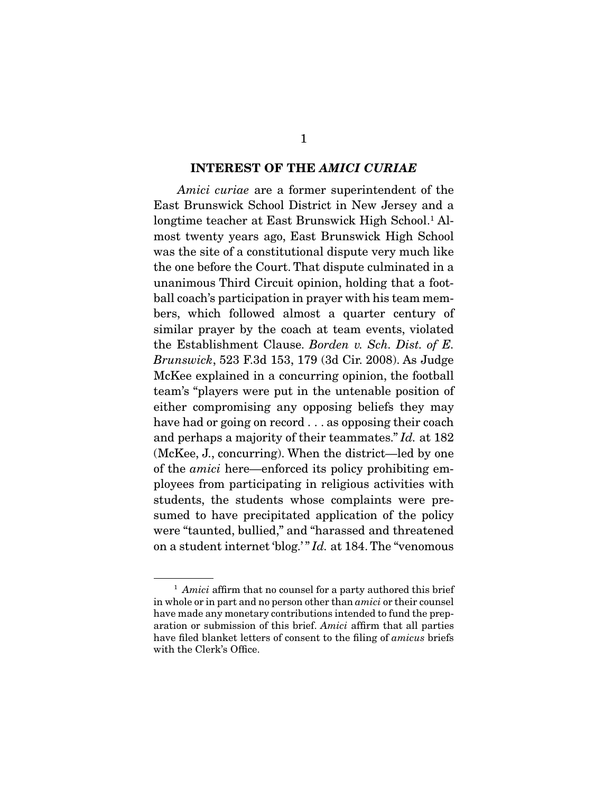#### **INTEREST OF THE** *AMICI CURIAE*

Amici curiae are a former superintendent of the East Brunswick School District in New Jersey and a longtime teacher at East Brunswick High School.<sup>1</sup> Almost twenty years ago, East Brunswick High School was the site of a constitutional dispute very much like the one before the Court. That dispute culminated in a unanimous Third Circuit opinion, holding that a football coach's participation in prayer with his team members, which followed almost a quarter century of similar prayer by the coach at team events, violated the Establishment Clause. Borden v. Sch. Dist. of E. Brunswick, 523 F.3d 153, 179 (3d Cir. 2008). As Judge McKee explained in a concurring opinion, the football team's "players were put in the untenable position of either compromising any opposing beliefs they may have had or going on record . . . as opposing their coach and perhaps a majority of their teammates." Id. at 182 (McKee, J., concurring). When the district—led by one of the amici here—enforced its policy prohibiting employees from participating in religious activities with students, the students whose complaints were presumed to have precipitated application of the policy were "taunted, bullied," and "harassed and threatened on a student internet 'blog.' " Id. at 184. The "venomous

 $<sup>1</sup>$  Amici affirm that no counsel for a party authored this brief</sup> in whole or in part and no person other than amici or their counsel have made any monetary contributions intended to fund the preparation or submission of this brief. Amici affirm that all parties have filed blanket letters of consent to the filing of *amicus* briefs with the Clerk's Office.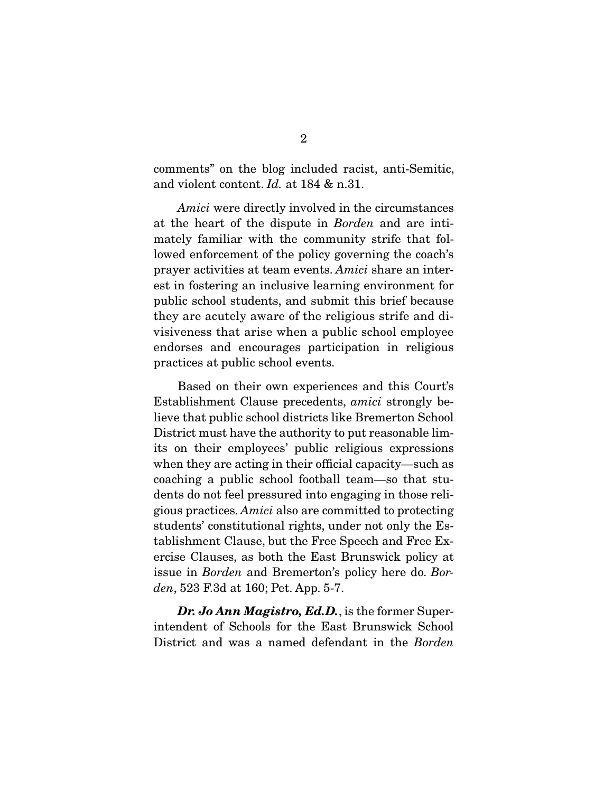comments" on the blog included racist, anti-Semitic, and violent content. Id. at 184 & n.31.

Amici were directly involved in the circumstances at the heart of the dispute in Borden and are intimately familiar with the community strife that followed enforcement of the policy governing the coach's prayer activities at team events. Amici share an interest in fostering an inclusive learning environment for public school students, and submit this brief because they are acutely aware of the religious strife and divisiveness that arise when a public school employee endorses and encourages participation in religious practices at public school events.

 Based on their own experiences and this Court's Establishment Clause precedents, amici strongly believe that public school districts like Bremerton School District must have the authority to put reasonable limits on their employees' public religious expressions when they are acting in their official capacity—such as coaching a public school football team—so that students do not feel pressured into engaging in those religious practices. Amici also are committed to protecting students' constitutional rights, under not only the Establishment Clause, but the Free Speech and Free Exercise Clauses, as both the East Brunswick policy at issue in Borden and Bremerton's policy here do. Borden, 523 F.3d at 160; Pet. App. 5-7.

*Dr. Jo Ann Magistro, Ed.D.*, is the former Superintendent of Schools for the East Brunswick School District and was a named defendant in the Borden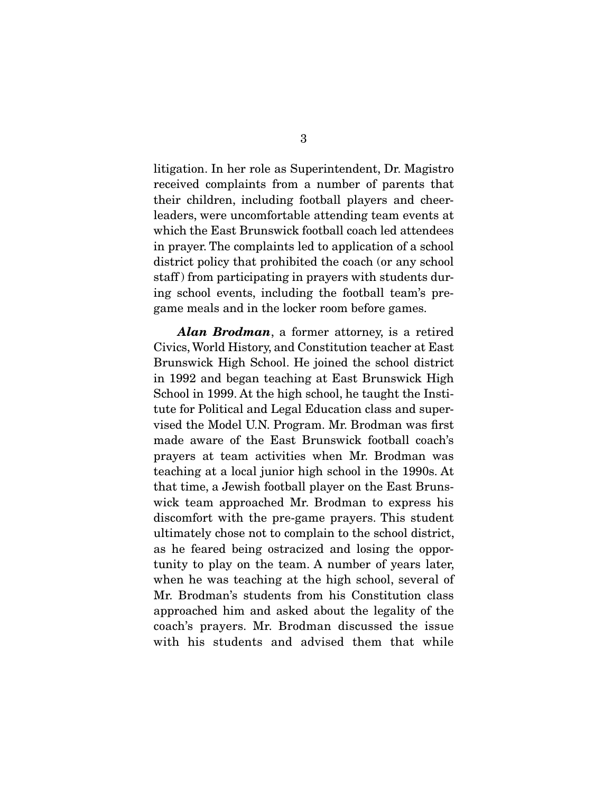litigation. In her role as Superintendent, Dr. Magistro received complaints from a number of parents that their children, including football players and cheerleaders, were uncomfortable attending team events at which the East Brunswick football coach led attendees in prayer. The complaints led to application of a school district policy that prohibited the coach (or any school staff ) from participating in prayers with students during school events, including the football team's pregame meals and in the locker room before games.

*Alan Brodman*, a former attorney, is a retired Civics, World History, and Constitution teacher at East Brunswick High School. He joined the school district in 1992 and began teaching at East Brunswick High School in 1999. At the high school, he taught the Institute for Political and Legal Education class and supervised the Model U.N. Program. Mr. Brodman was first made aware of the East Brunswick football coach's prayers at team activities when Mr. Brodman was teaching at a local junior high school in the 1990s. At that time, a Jewish football player on the East Brunswick team approached Mr. Brodman to express his discomfort with the pre-game prayers. This student ultimately chose not to complain to the school district, as he feared being ostracized and losing the opportunity to play on the team. A number of years later, when he was teaching at the high school, several of Mr. Brodman's students from his Constitution class approached him and asked about the legality of the coach's prayers. Mr. Brodman discussed the issue with his students and advised them that while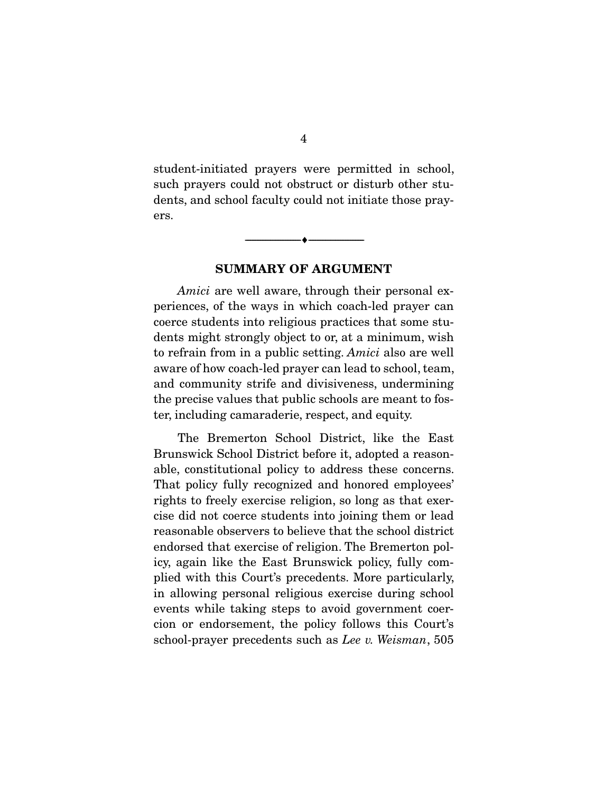student-initiated prayers were permitted in school, such prayers could not obstruct or disturb other students, and school faculty could not initiate those prayers.

**SUMMARY OF ARGUMENT** 

 $\overbrace{\hspace{2.5cm}}^{\bullet}$   $\overbrace{\hspace{2.5cm}}^{\bullet}$ 

Amici are well aware, through their personal experiences, of the ways in which coach-led prayer can coerce students into religious practices that some students might strongly object to or, at a minimum, wish to refrain from in a public setting. Amici also are well aware of how coach-led prayer can lead to school, team, and community strife and divisiveness, undermining the precise values that public schools are meant to foster, including camaraderie, respect, and equity.

 The Bremerton School District, like the East Brunswick School District before it, adopted a reasonable, constitutional policy to address these concerns. That policy fully recognized and honored employees' rights to freely exercise religion, so long as that exercise did not coerce students into joining them or lead reasonable observers to believe that the school district endorsed that exercise of religion. The Bremerton policy, again like the East Brunswick policy, fully complied with this Court's precedents. More particularly, in allowing personal religious exercise during school events while taking steps to avoid government coercion or endorsement, the policy follows this Court's school-prayer precedents such as Lee v. Weisman, 505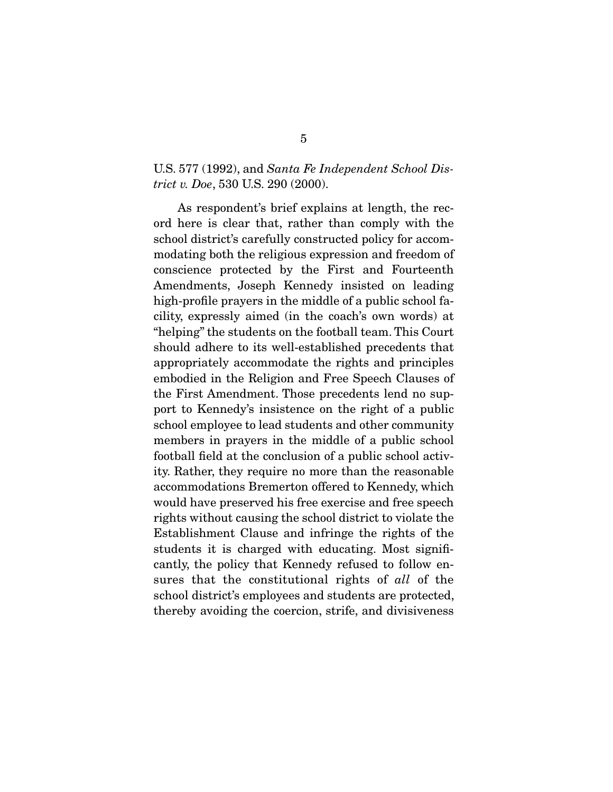#### U.S. 577 (1992), and Santa Fe Independent School District v. Doe, 530 U.S. 290 (2000).

 As respondent's brief explains at length, the record here is clear that, rather than comply with the school district's carefully constructed policy for accommodating both the religious expression and freedom of conscience protected by the First and Fourteenth Amendments, Joseph Kennedy insisted on leading high-profile prayers in the middle of a public school facility, expressly aimed (in the coach's own words) at "helping" the students on the football team. This Court should adhere to its well-established precedents that appropriately accommodate the rights and principles embodied in the Religion and Free Speech Clauses of the First Amendment. Those precedents lend no support to Kennedy's insistence on the right of a public school employee to lead students and other community members in prayers in the middle of a public school football field at the conclusion of a public school activity. Rather, they require no more than the reasonable accommodations Bremerton offered to Kennedy, which would have preserved his free exercise and free speech rights without causing the school district to violate the Establishment Clause and infringe the rights of the students it is charged with educating. Most significantly, the policy that Kennedy refused to follow ensures that the constitutional rights of all of the school district's employees and students are protected, thereby avoiding the coercion, strife, and divisiveness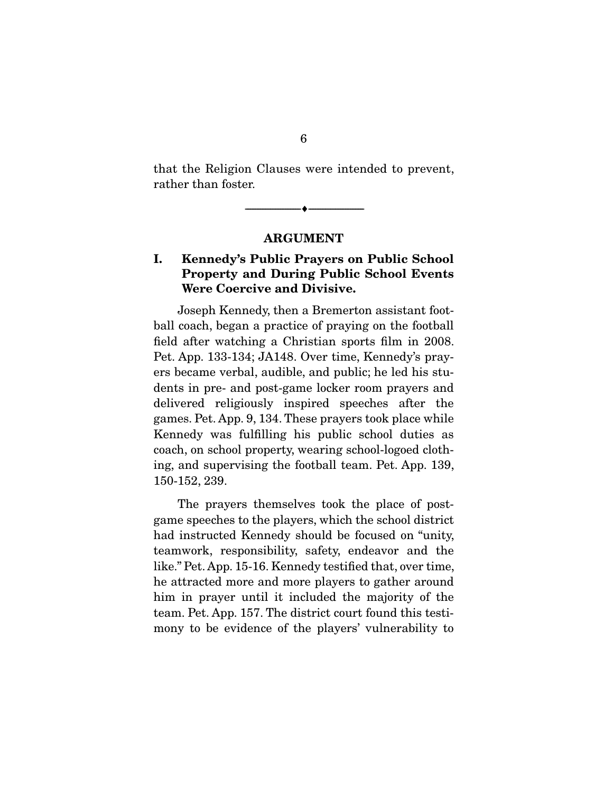that the Religion Clauses were intended to prevent, rather than foster.

 $\overbrace{\hspace{2.5cm}}^{\bullet}$   $\overbrace{\hspace{2.5cm}}^{\bullet}$ 

#### **ARGUMENT**

### **I. Kennedy's Public Prayers on Public School Property and During Public School Events Were Coercive and Divisive.**

 Joseph Kennedy, then a Bremerton assistant football coach, began a practice of praying on the football field after watching a Christian sports film in 2008. Pet. App. 133-134; JA148. Over time, Kennedy's prayers became verbal, audible, and public; he led his students in pre- and post-game locker room prayers and delivered religiously inspired speeches after the games. Pet. App. 9, 134. These prayers took place while Kennedy was fulfilling his public school duties as coach, on school property, wearing school-logoed clothing, and supervising the football team. Pet. App. 139, 150-152, 239.

 The prayers themselves took the place of postgame speeches to the players, which the school district had instructed Kennedy should be focused on "unity, teamwork, responsibility, safety, endeavor and the like." Pet. App. 15-16. Kennedy testified that, over time, he attracted more and more players to gather around him in prayer until it included the majority of the team. Pet. App. 157. The district court found this testimony to be evidence of the players' vulnerability to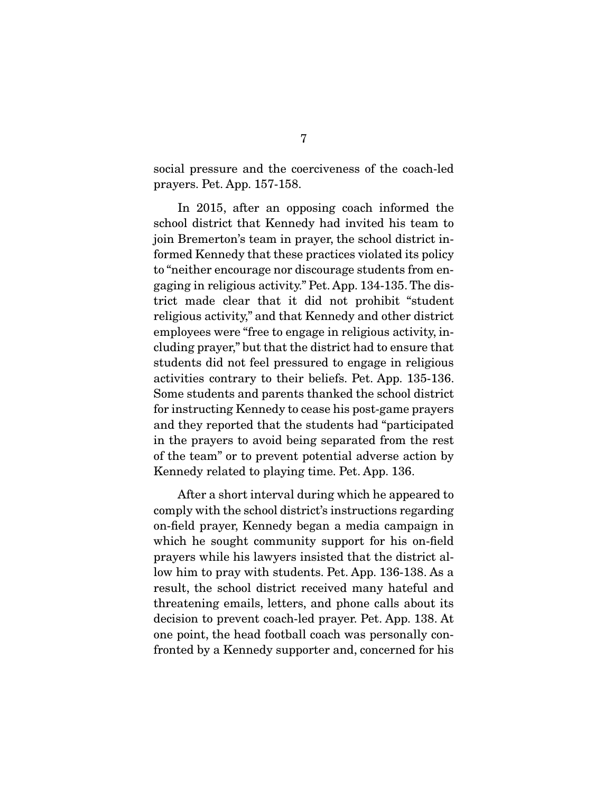social pressure and the coerciveness of the coach-led prayers. Pet. App. 157-158.

 In 2015, after an opposing coach informed the school district that Kennedy had invited his team to join Bremerton's team in prayer, the school district informed Kennedy that these practices violated its policy to "neither encourage nor discourage students from engaging in religious activity." Pet. App. 134-135. The district made clear that it did not prohibit "student religious activity," and that Kennedy and other district employees were "free to engage in religious activity, including prayer," but that the district had to ensure that students did not feel pressured to engage in religious activities contrary to their beliefs. Pet. App. 135-136. Some students and parents thanked the school district for instructing Kennedy to cease his post-game prayers and they reported that the students had "participated in the prayers to avoid being separated from the rest of the team" or to prevent potential adverse action by Kennedy related to playing time. Pet. App. 136.

 After a short interval during which he appeared to comply with the school district's instructions regarding on-field prayer, Kennedy began a media campaign in which he sought community support for his on-field prayers while his lawyers insisted that the district allow him to pray with students. Pet. App. 136-138. As a result, the school district received many hateful and threatening emails, letters, and phone calls about its decision to prevent coach-led prayer. Pet. App. 138. At one point, the head football coach was personally confronted by a Kennedy supporter and, concerned for his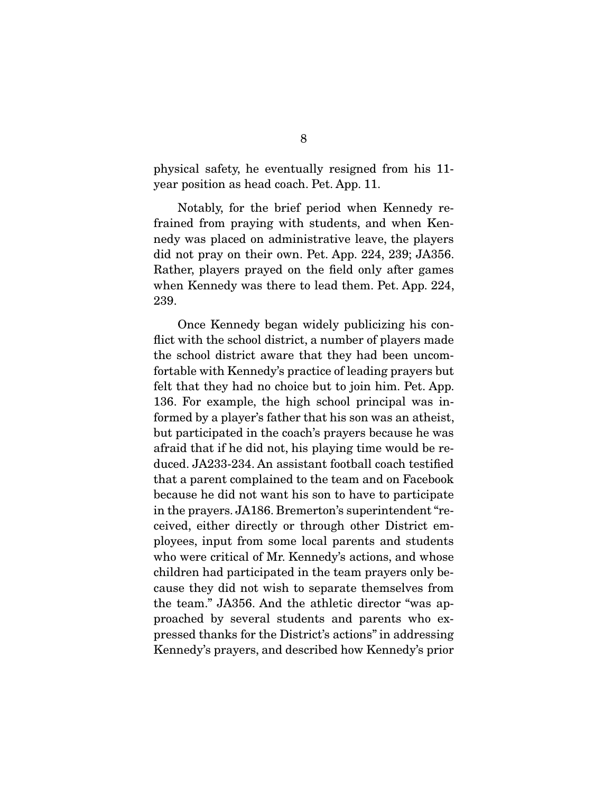physical safety, he eventually resigned from his 11 year position as head coach. Pet. App. 11.

 Notably, for the brief period when Kennedy refrained from praying with students, and when Kennedy was placed on administrative leave, the players did not pray on their own. Pet. App. 224, 239; JA356. Rather, players prayed on the field only after games when Kennedy was there to lead them. Pet. App. 224, 239.

 Once Kennedy began widely publicizing his conflict with the school district, a number of players made the school district aware that they had been uncomfortable with Kennedy's practice of leading prayers but felt that they had no choice but to join him. Pet. App. 136. For example, the high school principal was informed by a player's father that his son was an atheist, but participated in the coach's prayers because he was afraid that if he did not, his playing time would be reduced. JA233-234. An assistant football coach testified that a parent complained to the team and on Facebook because he did not want his son to have to participate in the prayers. JA186. Bremerton's superintendent "received, either directly or through other District employees, input from some local parents and students who were critical of Mr. Kennedy's actions, and whose children had participated in the team prayers only because they did not wish to separate themselves from the team." JA356. And the athletic director "was approached by several students and parents who expressed thanks for the District's actions" in addressing Kennedy's prayers, and described how Kennedy's prior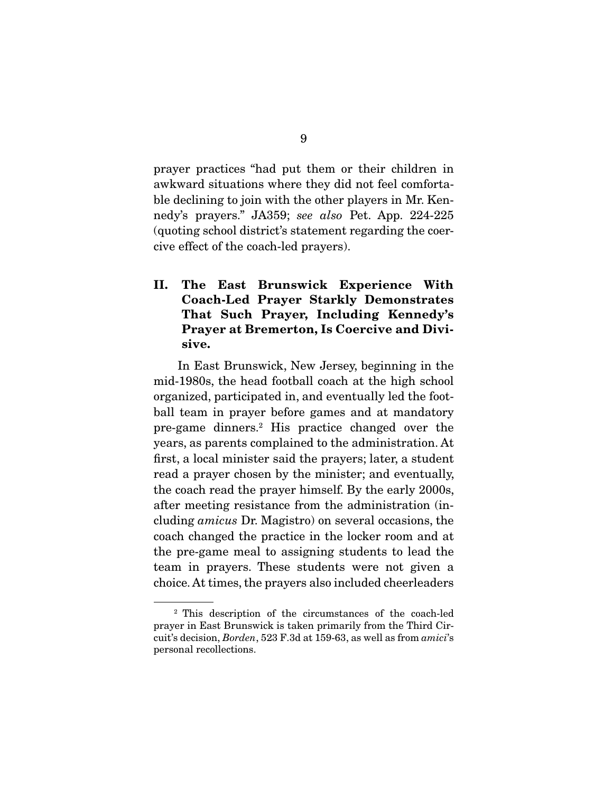prayer practices "had put them or their children in awkward situations where they did not feel comfortable declining to join with the other players in Mr. Kennedy's prayers." JA359; see also Pet. App. 224-225 (quoting school district's statement regarding the coercive effect of the coach-led prayers).

**II. The East Brunswick Experience With Coach-Led Prayer Starkly Demonstrates That Such Prayer, Including Kennedy's Prayer at Bremerton, Is Coercive and Divisive.** 

 In East Brunswick, New Jersey, beginning in the mid-1980s, the head football coach at the high school organized, participated in, and eventually led the football team in prayer before games and at mandatory pre-game dinners.2 His practice changed over the years, as parents complained to the administration. At first, a local minister said the prayers; later, a student read a prayer chosen by the minister; and eventually, the coach read the prayer himself. By the early 2000s, after meeting resistance from the administration (including amicus Dr. Magistro) on several occasions, the coach changed the practice in the locker room and at the pre-game meal to assigning students to lead the team in prayers. These students were not given a choice. At times, the prayers also included cheerleaders

<sup>2</sup> This description of the circumstances of the coach-led prayer in East Brunswick is taken primarily from the Third Circuit's decision, Borden, 523 F.3d at 159-63, as well as from amici's personal recollections.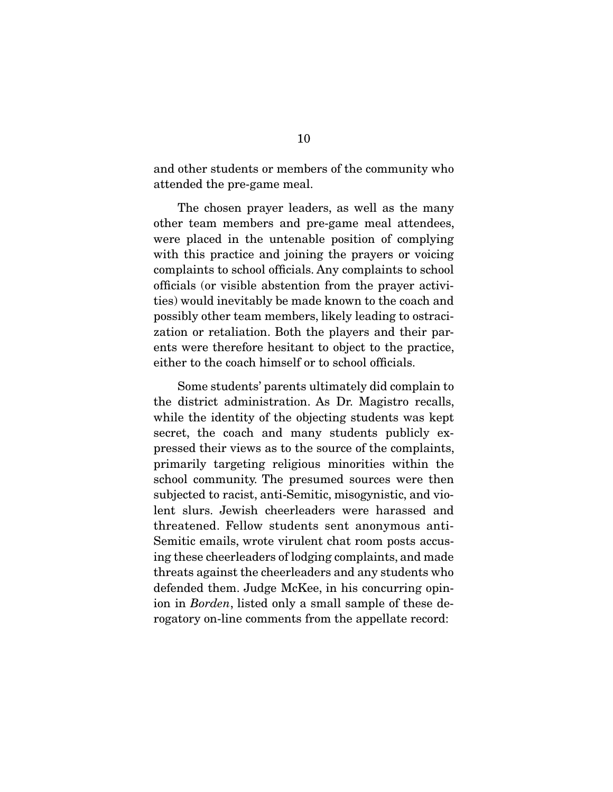and other students or members of the community who attended the pre-game meal.

 The chosen prayer leaders, as well as the many other team members and pre-game meal attendees, were placed in the untenable position of complying with this practice and joining the prayers or voicing complaints to school officials. Any complaints to school officials (or visible abstention from the prayer activities) would inevitably be made known to the coach and possibly other team members, likely leading to ostracization or retaliation. Both the players and their parents were therefore hesitant to object to the practice, either to the coach himself or to school officials.

 Some students' parents ultimately did complain to the district administration. As Dr. Magistro recalls, while the identity of the objecting students was kept secret, the coach and many students publicly expressed their views as to the source of the complaints, primarily targeting religious minorities within the school community. The presumed sources were then subjected to racist, anti-Semitic, misogynistic, and violent slurs. Jewish cheerleaders were harassed and threatened. Fellow students sent anonymous anti-Semitic emails, wrote virulent chat room posts accusing these cheerleaders of lodging complaints, and made threats against the cheerleaders and any students who defended them. Judge McKee, in his concurring opinion in Borden, listed only a small sample of these derogatory on-line comments from the appellate record: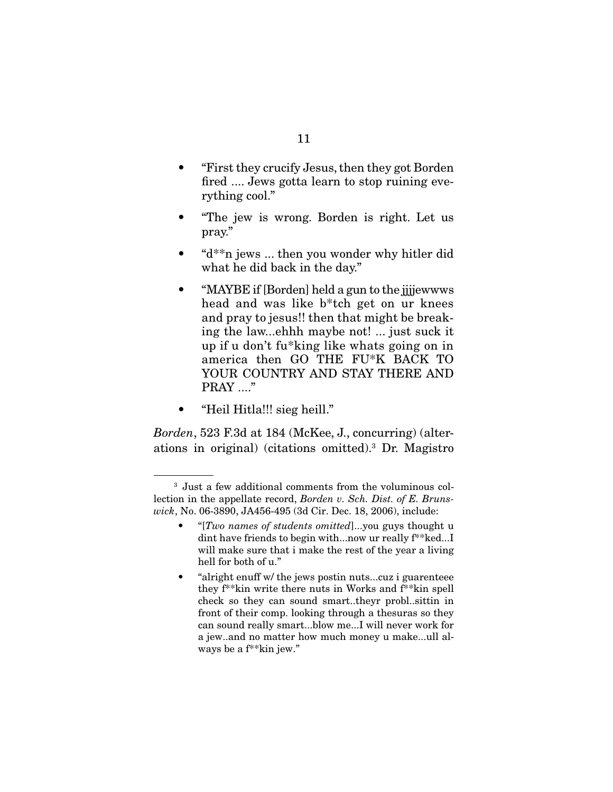- "First they crucify Jesus, then they got Borden fired .... Jews gotta learn to stop ruining everything cool."
- "The jew is wrong. Borden is right. Let us pray."
- "d\*\*n jews ... then you wonder why hitler did what he did back in the day."
- "MAYBE if [Borden] held a gun to the jijjewwws head and was like b\*tch get on ur knees and pray to jesus!! then that might be breaking the law...ehhh maybe not! ... just suck it up if u don't fu\*king like whats going on in america then GO THE FU\*K BACK TO YOUR COUNTRY AND STAY THERE AND PRAY ...."
- "Heil Hitla!!! sieg heill."

Borden, 523 F.3d at 184 (McKee, J., concurring) (alterations in original) (citations omitted).3 Dr. Magistro

<sup>3</sup> Just a few additional comments from the voluminous collection in the appellate record, Borden v. Sch. Dist. of E. Brunswick, No. 06-3890, JA456-495 (3d Cir. Dec. 18, 2006), include:

<sup>• &</sup>quot;[Two names of students omitted]...you guys thought u dint have friends to begin with...now ur really f\*\*ked...I will make sure that i make the rest of the year a living hell for both of u."

<sup>• &</sup>quot;alright enuff w/ the jews postin nuts...cuz i guarenteee they f\*\*kin write there nuts in Works and f\*\*kin spell check so they can sound smart..theyr probl..sittin in front of their comp. looking through a thesuras so they can sound really smart...blow me...I will never work for a jew..and no matter how much money u make...ull always be a f\*\*kin jew."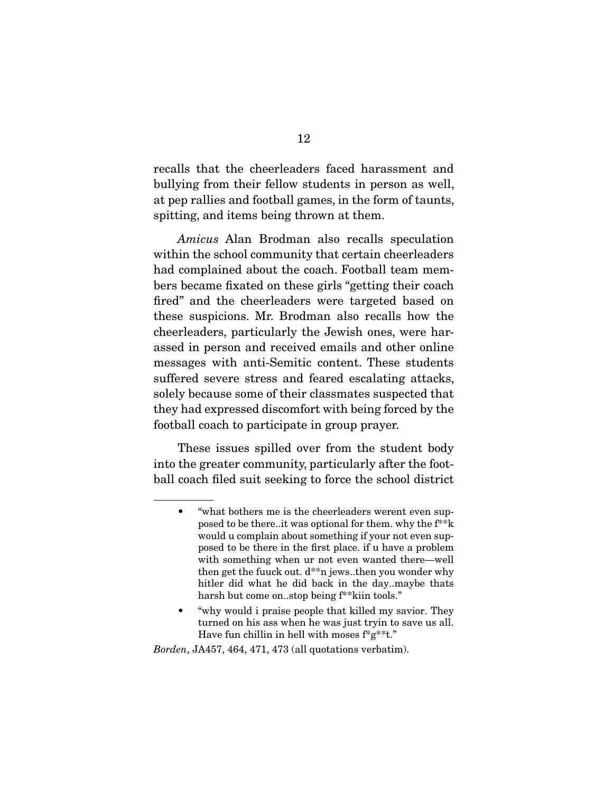recalls that the cheerleaders faced harassment and bullying from their fellow students in person as well, at pep rallies and football games, in the form of taunts, spitting, and items being thrown at them.

Amicus Alan Brodman also recalls speculation within the school community that certain cheerleaders had complained about the coach. Football team members became fixated on these girls "getting their coach fired" and the cheerleaders were targeted based on these suspicions. Mr. Brodman also recalls how the cheerleaders, particularly the Jewish ones, were harassed in person and received emails and other online messages with anti-Semitic content. These students suffered severe stress and feared escalating attacks, solely because some of their classmates suspected that they had expressed discomfort with being forced by the football coach to participate in group prayer.

 These issues spilled over from the student body into the greater community, particularly after the football coach filed suit seeking to force the school district

• "why would i praise people that killed my savior. They turned on his ass when he was just tryin to save us all. Have fun chillin in hell with moses  $f^*g^{**}t$ ."

Borden, JA457, 464, 471, 473 (all quotations verbatim).

<sup>• &</sup>quot;what bothers me is the cheerleaders werent even supposed to be there..it was optional for them. why the f\*\*k would u complain about something if your not even supposed to be there in the first place. if u have a problem with something when ur not even wanted there—well then get the fuuck out.  $d^{**}$ n jews..then you wonder why hitler did what he did back in the day..maybe thats harsh but come on..stop being f\*\*kiin tools."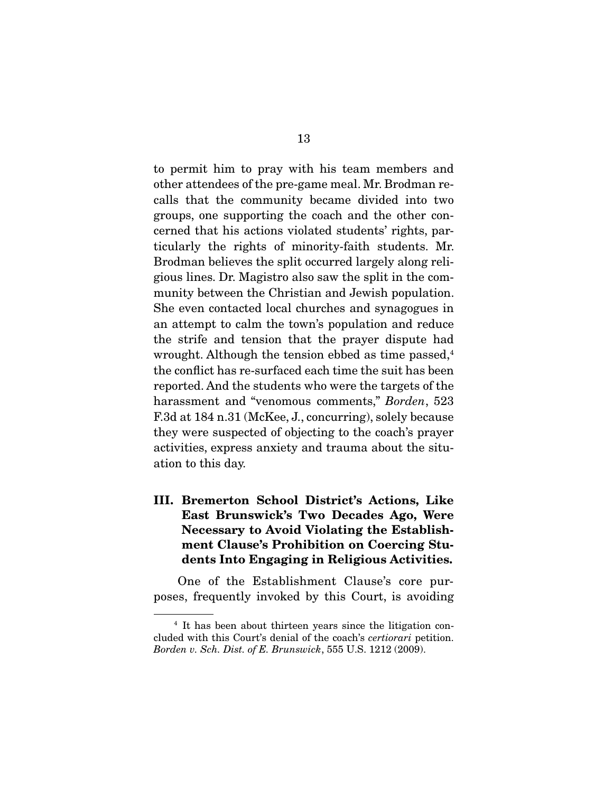to permit him to pray with his team members and other attendees of the pre-game meal. Mr. Brodman recalls that the community became divided into two groups, one supporting the coach and the other concerned that his actions violated students' rights, particularly the rights of minority-faith students. Mr. Brodman believes the split occurred largely along religious lines. Dr. Magistro also saw the split in the community between the Christian and Jewish population. She even contacted local churches and synagogues in an attempt to calm the town's population and reduce the strife and tension that the prayer dispute had wrought. Although the tension ebbed as time passed, $4$ the conflict has re-surfaced each time the suit has been reported. And the students who were the targets of the harassment and "venomous comments," Borden, 523 F.3d at 184 n.31 (McKee, J., concurring), solely because they were suspected of objecting to the coach's prayer activities, express anxiety and trauma about the situation to this day.

**III. Bremerton School District's Actions, Like East Brunswick's Two Decades Ago, Were Necessary to Avoid Violating the Establishment Clause's Prohibition on Coercing Students Into Engaging in Religious Activities.** 

 One of the Establishment Clause's core purposes, frequently invoked by this Court, is avoiding

<sup>4</sup> It has been about thirteen years since the litigation concluded with this Court's denial of the coach's certiorari petition. Borden v. Sch. Dist. of E. Brunswick, 555 U.S. 1212 (2009).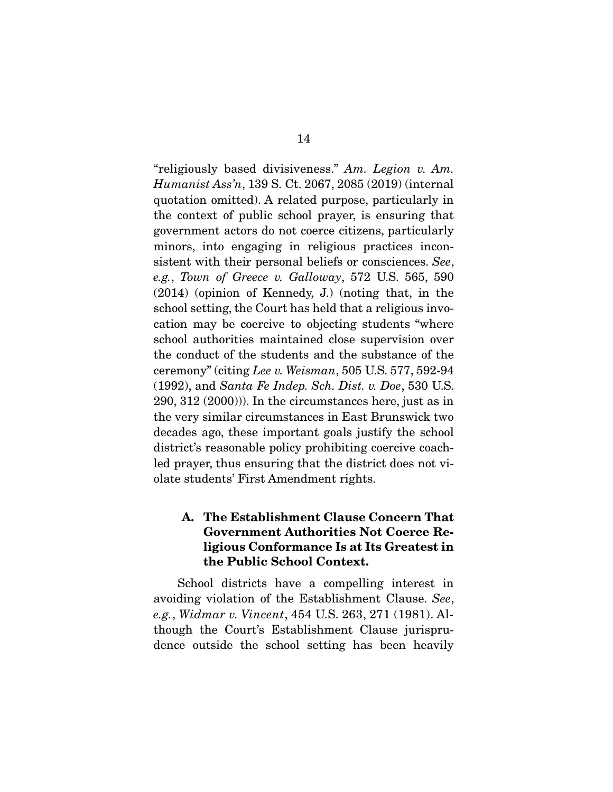"religiously based divisiveness." Am. Legion v. Am. Humanist Ass'n, 139 S. Ct. 2067, 2085 (2019) (internal quotation omitted). A related purpose, particularly in the context of public school prayer, is ensuring that government actors do not coerce citizens, particularly minors, into engaging in religious practices inconsistent with their personal beliefs or consciences. See, e.g., Town of Greece v. Galloway, 572 U.S. 565, 590 (2014) (opinion of Kennedy, J.) (noting that, in the school setting, the Court has held that a religious invocation may be coercive to objecting students "where school authorities maintained close supervision over the conduct of the students and the substance of the ceremony" (citing Lee v. Weisman, 505 U.S. 577, 592-94 (1992), and Santa Fe Indep. Sch. Dist. v. Doe, 530 U.S. 290, 312 (2000))). In the circumstances here, just as in the very similar circumstances in East Brunswick two decades ago, these important goals justify the school district's reasonable policy prohibiting coercive coachled prayer, thus ensuring that the district does not violate students' First Amendment rights.

### **A. The Establishment Clause Concern That Government Authorities Not Coerce Religious Conformance Is at Its Greatest in the Public School Context.**

 School districts have a compelling interest in avoiding violation of the Establishment Clause. See, e.g., Widmar v. Vincent, 454 U.S. 263, 271 (1981). Although the Court's Establishment Clause jurisprudence outside the school setting has been heavily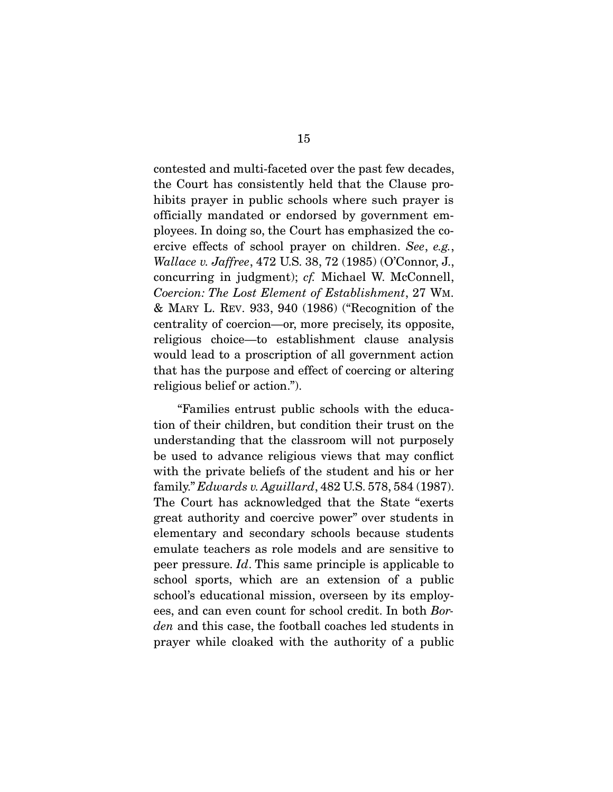contested and multi-faceted over the past few decades, the Court has consistently held that the Clause prohibits prayer in public schools where such prayer is officially mandated or endorsed by government employees. In doing so, the Court has emphasized the coercive effects of school prayer on children. See, e.g., Wallace v. Jaffree, 472 U.S. 38, 72 (1985) (O'Connor, J., concurring in judgment); cf. Michael W. McConnell, Coercion: The Lost Element of Establishment, 27 WM. & MARY L. REV. 933, 940 (1986) ("Recognition of the centrality of coercion—or, more precisely, its opposite, religious choice—to establishment clause analysis would lead to a proscription of all government action that has the purpose and effect of coercing or altering religious belief or action.").

 "Families entrust public schools with the education of their children, but condition their trust on the understanding that the classroom will not purposely be used to advance religious views that may conflict with the private beliefs of the student and his or her family." Edwards v. Aguillard, 482 U.S. 578, 584 (1987). The Court has acknowledged that the State "exerts great authority and coercive power" over students in elementary and secondary schools because students emulate teachers as role models and are sensitive to peer pressure. Id. This same principle is applicable to school sports, which are an extension of a public school's educational mission, overseen by its employees, and can even count for school credit. In both Borden and this case, the football coaches led students in prayer while cloaked with the authority of a public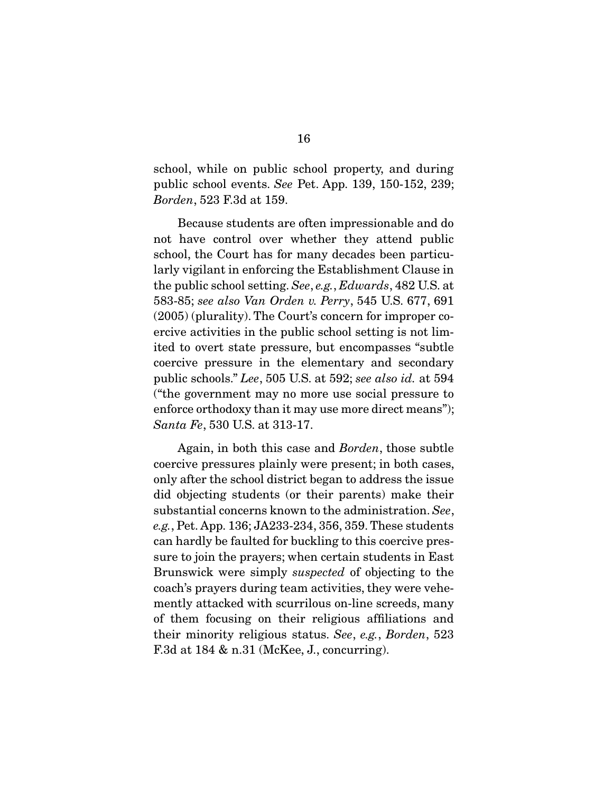school, while on public school property, and during public school events. See Pet. App. 139, 150-152, 239; Borden, 523 F.3d at 159.

 Because students are often impressionable and do not have control over whether they attend public school, the Court has for many decades been particularly vigilant in enforcing the Establishment Clause in the public school setting. See, e.g., Edwards, 482 U.S. at 583-85; see also Van Orden v. Perry, 545 U.S. 677, 691 (2005) (plurality). The Court's concern for improper coercive activities in the public school setting is not limited to overt state pressure, but encompasses "subtle coercive pressure in the elementary and secondary public schools." Lee, 505 U.S. at 592; see also id. at 594 ("the government may no more use social pressure to enforce orthodoxy than it may use more direct means"); Santa Fe, 530 U.S. at 313-17.

 Again, in both this case and Borden, those subtle coercive pressures plainly were present; in both cases, only after the school district began to address the issue did objecting students (or their parents) make their substantial concerns known to the administration. See, e.g., Pet. App. 136; JA233-234, 356, 359. These students can hardly be faulted for buckling to this coercive pressure to join the prayers; when certain students in East Brunswick were simply suspected of objecting to the coach's prayers during team activities, they were vehemently attacked with scurrilous on-line screeds, many of them focusing on their religious affiliations and their minority religious status. See, e.g., Borden, 523 F.3d at 184 & n.31 (McKee, J., concurring).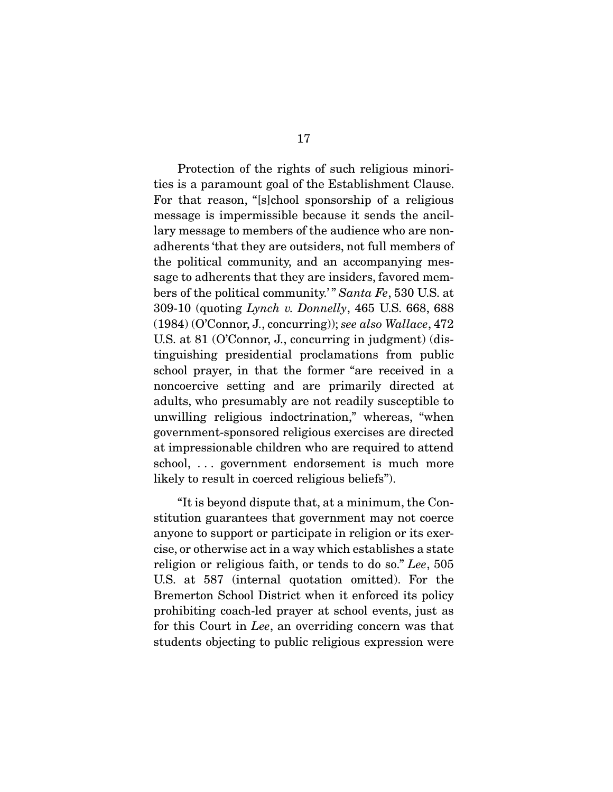Protection of the rights of such religious minorities is a paramount goal of the Establishment Clause. For that reason, "[s]chool sponsorship of a religious message is impermissible because it sends the ancillary message to members of the audience who are nonadherents 'that they are outsiders, not full members of the political community, and an accompanying message to adherents that they are insiders, favored members of the political community.'" Santa Fe, 530 U.S. at 309-10 (quoting Lynch v. Donnelly, 465 U.S. 668, 688 (1984) (O'Connor, J., concurring)); see also Wallace, 472 U.S. at 81 (O'Connor, J., concurring in judgment) (distinguishing presidential proclamations from public school prayer, in that the former "are received in a noncoercive setting and are primarily directed at adults, who presumably are not readily susceptible to unwilling religious indoctrination," whereas, "when government-sponsored religious exercises are directed at impressionable children who are required to attend school, . . . government endorsement is much more likely to result in coerced religious beliefs").

 "It is beyond dispute that, at a minimum, the Constitution guarantees that government may not coerce anyone to support or participate in religion or its exercise, or otherwise act in a way which establishes a state religion or religious faith, or tends to do so." Lee, 505 U.S. at 587 (internal quotation omitted). For the Bremerton School District when it enforced its policy prohibiting coach-led prayer at school events, just as for this Court in Lee, an overriding concern was that students objecting to public religious expression were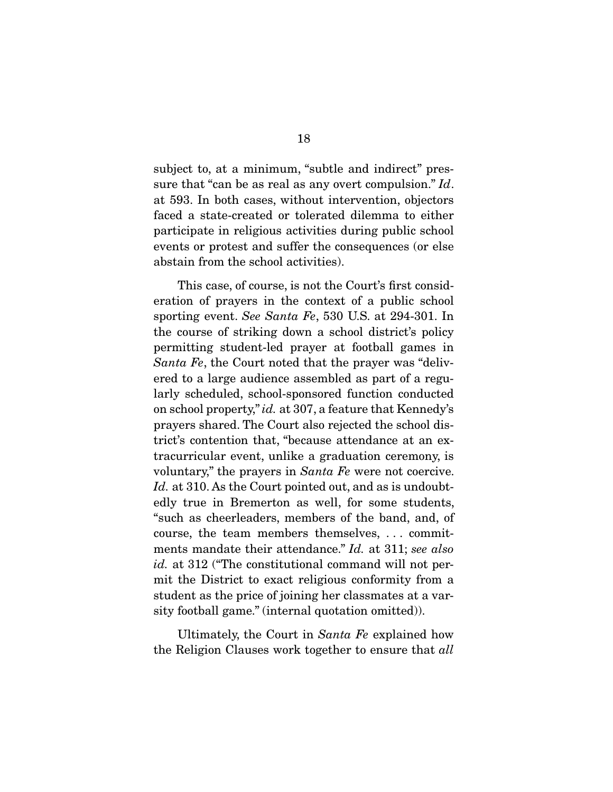subject to, at a minimum, "subtle and indirect" pressure that "can be as real as any overt compulsion." Id. at 593. In both cases, without intervention, objectors faced a state-created or tolerated dilemma to either participate in religious activities during public school events or protest and suffer the consequences (or else abstain from the school activities).

 This case, of course, is not the Court's first consideration of prayers in the context of a public school sporting event. See Santa Fe, 530 U.S. at 294-301. In the course of striking down a school district's policy permitting student-led prayer at football games in Santa Fe, the Court noted that the prayer was "delivered to a large audience assembled as part of a regularly scheduled, school-sponsored function conducted on school property," id. at 307, a feature that Kennedy's prayers shared. The Court also rejected the school district's contention that, "because attendance at an extracurricular event, unlike a graduation ceremony, is voluntary," the prayers in *Santa Fe* were not coercive. Id. at 310. As the Court pointed out, and as is undoubtedly true in Bremerton as well, for some students, "such as cheerleaders, members of the band, and, of course, the team members themselves, . . . commitments mandate their attendance." Id. at 311; see also id. at 312 ("The constitutional command will not permit the District to exact religious conformity from a student as the price of joining her classmates at a varsity football game." (internal quotation omitted)).

 Ultimately, the Court in Santa Fe explained how the Religion Clauses work together to ensure that all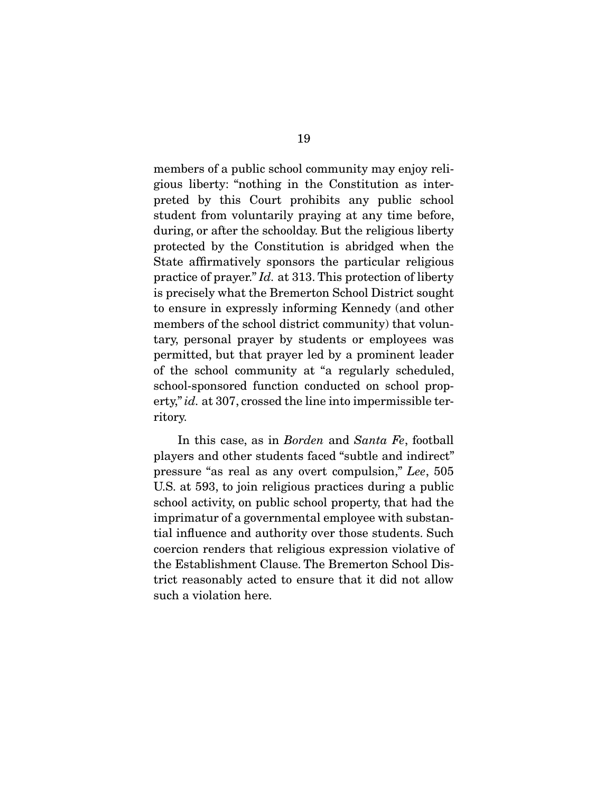members of a public school community may enjoy religious liberty: "nothing in the Constitution as interpreted by this Court prohibits any public school student from voluntarily praying at any time before, during, or after the schoolday. But the religious liberty protected by the Constitution is abridged when the State affirmatively sponsors the particular religious practice of prayer." Id. at 313. This protection of liberty is precisely what the Bremerton School District sought to ensure in expressly informing Kennedy (and other members of the school district community) that voluntary, personal prayer by students or employees was permitted, but that prayer led by a prominent leader of the school community at "a regularly scheduled, school-sponsored function conducted on school property," id. at 307, crossed the line into impermissible territory.

 In this case, as in Borden and Santa Fe, football players and other students faced "subtle and indirect" pressure "as real as any overt compulsion," Lee, 505 U.S. at 593, to join religious practices during a public school activity, on public school property, that had the imprimatur of a governmental employee with substantial influence and authority over those students. Such coercion renders that religious expression violative of the Establishment Clause. The Bremerton School District reasonably acted to ensure that it did not allow such a violation here.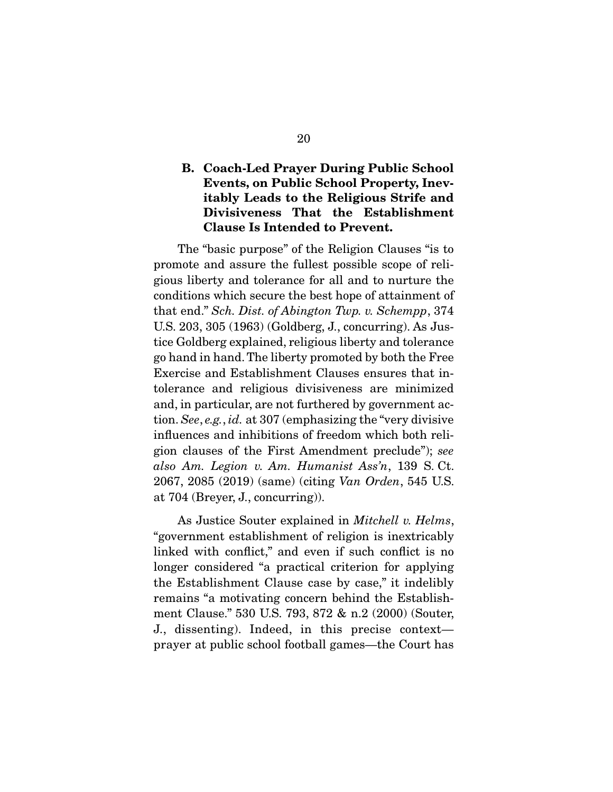### **B. Coach-Led Prayer During Public School Events, on Public School Property, Inevitably Leads to the Religious Strife and Divisiveness That the Establishment Clause Is Intended to Prevent.**

 The "basic purpose" of the Religion Clauses "is to promote and assure the fullest possible scope of religious liberty and tolerance for all and to nurture the conditions which secure the best hope of attainment of that end." Sch. Dist. of Abington Twp. v. Schempp, 374 U.S. 203, 305 (1963) (Goldberg, J., concurring). As Justice Goldberg explained, religious liberty and tolerance go hand in hand. The liberty promoted by both the Free Exercise and Establishment Clauses ensures that intolerance and religious divisiveness are minimized and, in particular, are not furthered by government action. See, e.g., id. at 307 (emphasizing the "very divisive influences and inhibitions of freedom which both religion clauses of the First Amendment preclude"); see also Am. Legion v. Am. Humanist Ass'n, 139 S. Ct. 2067, 2085 (2019) (same) (citing Van Orden, 545 U.S. at 704 (Breyer, J., concurring)).

As Justice Souter explained in *Mitchell v. Helms*, "government establishment of religion is inextricably linked with conflict," and even if such conflict is no longer considered "a practical criterion for applying the Establishment Clause case by case," it indelibly remains "a motivating concern behind the Establishment Clause." 530 U.S. 793, 872 & n.2 (2000) (Souter, J., dissenting). Indeed, in this precise context prayer at public school football games—the Court has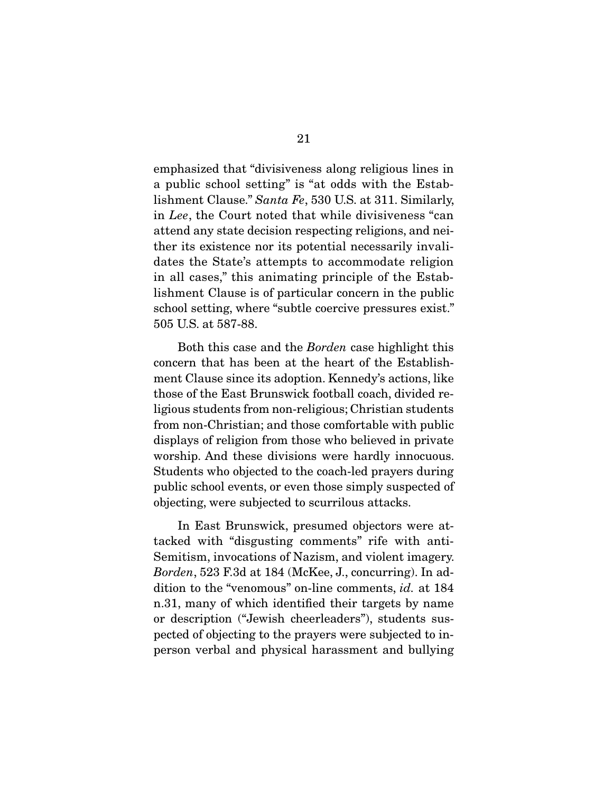emphasized that "divisiveness along religious lines in a public school setting" is "at odds with the Establishment Clause." Santa Fe, 530 U.S. at 311. Similarly, in Lee, the Court noted that while divisiveness "can attend any state decision respecting religions, and neither its existence nor its potential necessarily invalidates the State's attempts to accommodate religion in all cases," this animating principle of the Establishment Clause is of particular concern in the public school setting, where "subtle coercive pressures exist." 505 U.S. at 587-88.

 Both this case and the Borden case highlight this concern that has been at the heart of the Establishment Clause since its adoption. Kennedy's actions, like those of the East Brunswick football coach, divided religious students from non-religious; Christian students from non-Christian; and those comfortable with public displays of religion from those who believed in private worship. And these divisions were hardly innocuous. Students who objected to the coach-led prayers during public school events, or even those simply suspected of objecting, were subjected to scurrilous attacks.

 In East Brunswick, presumed objectors were attacked with "disgusting comments" rife with anti-Semitism, invocations of Nazism, and violent imagery. Borden, 523 F.3d at 184 (McKee, J., concurring). In addition to the "venomous" on-line comments, id. at 184 n.31, many of which identified their targets by name or description ("Jewish cheerleaders"), students suspected of objecting to the prayers were subjected to inperson verbal and physical harassment and bullying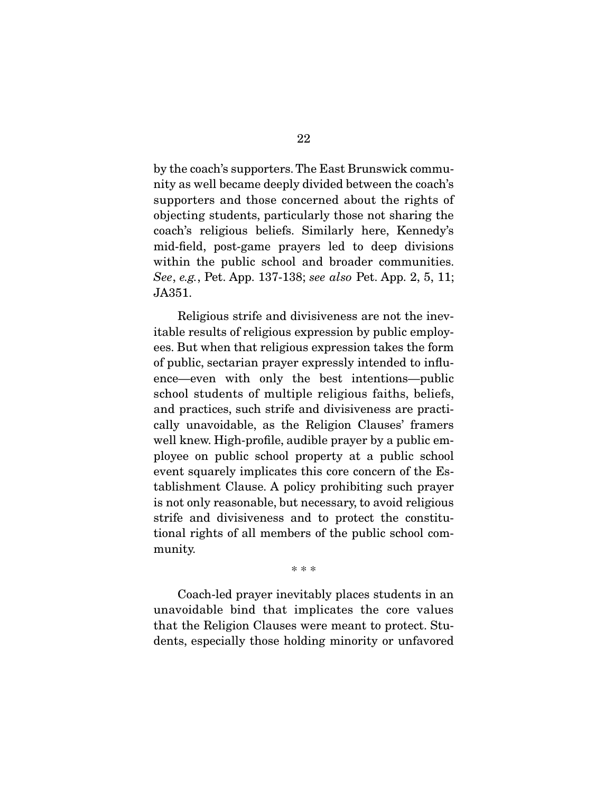by the coach's supporters. The East Brunswick community as well became deeply divided between the coach's supporters and those concerned about the rights of objecting students, particularly those not sharing the coach's religious beliefs. Similarly here, Kennedy's mid-field, post-game prayers led to deep divisions within the public school and broader communities. See, e.g., Pet. App. 137-138; see also Pet. App. 2, 5, 11; JA351.

 Religious strife and divisiveness are not the inevitable results of religious expression by public employees. But when that religious expression takes the form of public, sectarian prayer expressly intended to influence—even with only the best intentions—public school students of multiple religious faiths, beliefs, and practices, such strife and divisiveness are practically unavoidable, as the Religion Clauses' framers well knew. High-profile, audible prayer by a public employee on public school property at a public school event squarely implicates this core concern of the Establishment Clause. A policy prohibiting such prayer is not only reasonable, but necessary, to avoid religious strife and divisiveness and to protect the constitutional rights of all members of the public school community.

\* \* \*

 Coach-led prayer inevitably places students in an unavoidable bind that implicates the core values that the Religion Clauses were meant to protect. Students, especially those holding minority or unfavored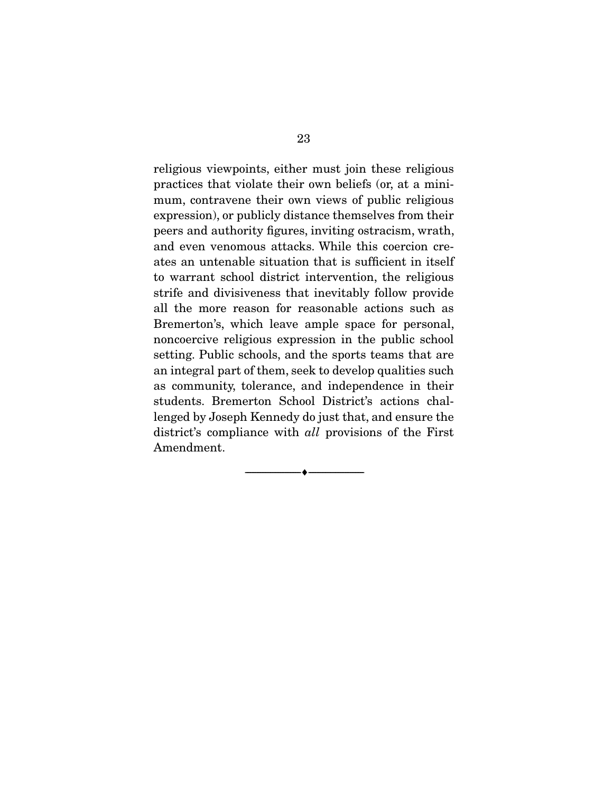religious viewpoints, either must join these religious practices that violate their own beliefs (or, at a minimum, contravene their own views of public religious expression), or publicly distance themselves from their peers and authority figures, inviting ostracism, wrath, and even venomous attacks. While this coercion creates an untenable situation that is sufficient in itself to warrant school district intervention, the religious strife and divisiveness that inevitably follow provide all the more reason for reasonable actions such as Bremerton's, which leave ample space for personal, noncoercive religious expression in the public school setting. Public schools, and the sports teams that are an integral part of them, seek to develop qualities such as community, tolerance, and independence in their students. Bremerton School District's actions challenged by Joseph Kennedy do just that, and ensure the district's compliance with *all* provisions of the First Amendment.

 $\overbrace{\hspace{2.5cm}}^{\bullet}$   $\overbrace{\hspace{2.5cm}}^{\bullet}$